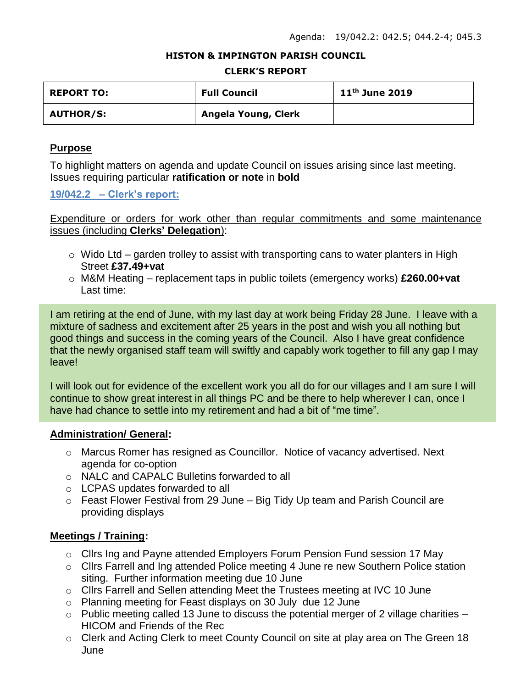#### **HISTON & IMPINGTON PARISH COUNCIL**

#### **CLERK'S REPORT**

| <b>REPORT TO:</b> | <b>Full Council</b> | $11th$ June 2019 |
|-------------------|---------------------|------------------|
| <b>AUTHOR/S:</b>  | Angela Young, Clerk |                  |

#### **Purpose**

To highlight matters on agenda and update Council on issues arising since last meeting. Issues requiring particular **ratification or note** in **bold**

**19/042.2 – Clerk's report:**

Expenditure or orders for work other than regular commitments and some maintenance issues (including **Clerks' Delegation**):

- $\circ$  Wido Ltd garden trolley to assist with transporting cans to water planters in High Street **£37.49+vat**
- o M&M Heating replacement taps in public toilets (emergency works) **£260.00+vat** Last time:

I am retiring at the end of June, with my last day at work being Friday 28 June. I leave with a mixture of sadness and excitement after 25 years in the post and wish you all nothing but good things and success in the coming years of the Council. Also I have great confidence that the newly organised staff team will swiftly and capably work together to fill any gap I may leave!

I will look out for evidence of the excellent work you all do for our villages and I am sure I will continue to show great interest in all things PC and be there to help wherever I can, once I have had chance to settle into my retirement and had a bit of "me time".

#### **Administration/ General:**

- o Marcus Romer has resigned as Councillor. Notice of vacancy advertised. Next agenda for co-option
- o NALC and CAPALC Bulletins forwarded to all
- o LCPAS updates forwarded to all
- o Feast Flower Festival from 29 June Big Tidy Up team and Parish Council are providing displays

## **Meetings / Training:**

- o Cllrs Ing and Payne attended Employers Forum Pension Fund session 17 May
- o Cllrs Farrell and Ing attended Police meeting 4 June re new Southern Police station siting. Further information meeting due 10 June
- o Cllrs Farrell and Sellen attending Meet the Trustees meeting at IVC 10 June
- o Planning meeting for Feast displays on 30 July due 12 June
- $\circ$  Public meeting called 13 June to discuss the potential merger of 2 village charities HICOM and Friends of the Rec
- o Clerk and Acting Clerk to meet County Council on site at play area on The Green 18 June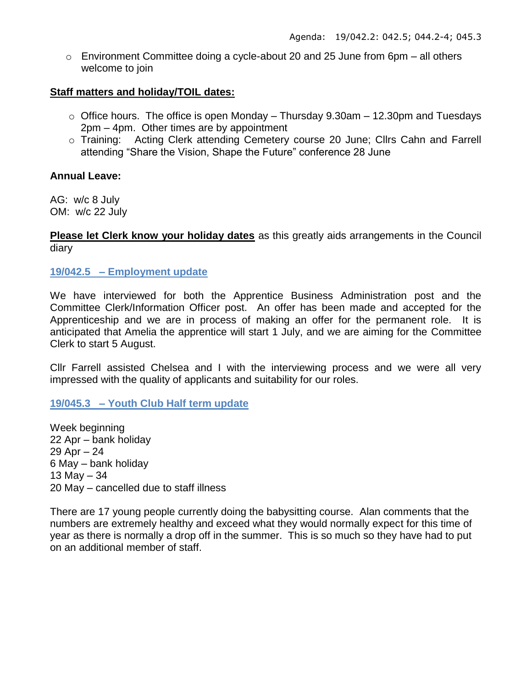o Environment Committee doing a cycle-about 20 and 25 June from 6pm – all others welcome to join

## **Staff matters and holiday/TOIL dates:**

- $\circ$  Office hours. The office is open Monday Thursday 9.30am 12.30pm and Tuesdays 2pm – 4pm. Other times are by appointment
- o Training: Acting Clerk attending Cemetery course 20 June; Cllrs Cahn and Farrell attending "Share the Vision, Shape the Future" conference 28 June

## **Annual Leave:**

AG: w/c 8 July OM: w/c 22 July

**Please let Clerk know your holiday dates** as this greatly aids arrangements in the Council diary

**19/042.5 – Employment update**

We have interviewed for both the Apprentice Business Administration post and the Committee Clerk/Information Officer post. An offer has been made and accepted for the Apprenticeship and we are in process of making an offer for the permanent role. It is anticipated that Amelia the apprentice will start 1 July, and we are aiming for the Committee Clerk to start 5 August.

Cllr Farrell assisted Chelsea and I with the interviewing process and we were all very impressed with the quality of applicants and suitability for our roles.

# **19/045.3 – Youth Club Half term update**

Week beginning 22 Apr – bank holiday 29 Apr – 24 6 May – bank holiday 13 May – 34 20 May – cancelled due to staff illness

There are 17 young people currently doing the babysitting course. Alan comments that the numbers are extremely healthy and exceed what they would normally expect for this time of year as there is normally a drop off in the summer. This is so much so they have had to put on an additional member of staff.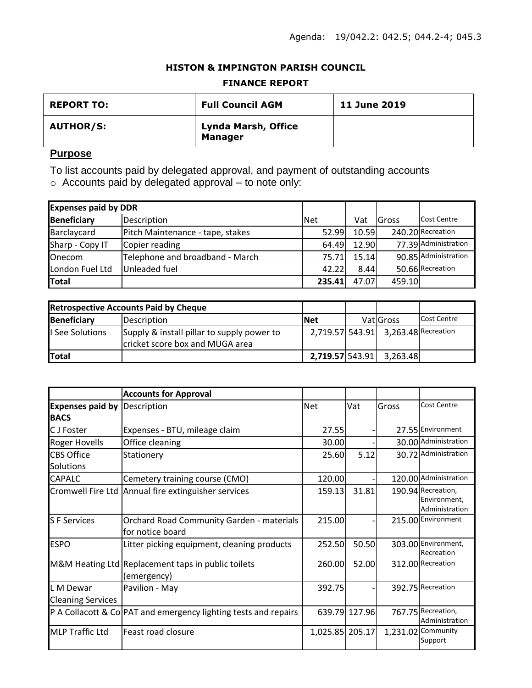### **HISTON & IMPINGTON PARISH COUNCIL**

#### **FINANCE REPORT**

| <b>REPORT TO:</b> | <b>Full Council AGM</b>               | <b>11 June 2019</b> |
|-------------------|---------------------------------------|---------------------|
| <b>AUTHOR/S:</b>  | Lynda Marsh, Office<br><b>Manager</b> |                     |

## **Purpose**

To list accounts paid by delegated approval, and payment of outstanding accounts

o Accounts paid by delegated approval – to note only:

| <b>Expenses paid by DDR</b> |                                  |            |       |               |                      |
|-----------------------------|----------------------------------|------------|-------|---------------|----------------------|
| Beneficiary                 | Description                      | <b>Net</b> | Vat   | <b>IGross</b> | <b>Cost Centre</b>   |
| Barclaycard                 | Pitch Maintenance - tape, stakes | 52.99      | 10.59 |               | 240.20 Recreation    |
| Sharp - Copy IT             | Copier reading                   | 64.49      | 12.90 |               | 77.39 Administration |
| <b>Onecom</b>               | Telephone and broadband - March  | 75.71      | 15.14 |               | 90.85 Administration |
| London Fuel Ltd             | Unleaded fuel                    | 42.22      | 8.44  |               | 50.66 Recreation     |
| Total                       |                                  | 235.41     | 47.07 | 459.10        |                      |

| <b>Retrospective Accounts Paid by Cheque</b> |                                                                               |                 |                                     |             |
|----------------------------------------------|-------------------------------------------------------------------------------|-----------------|-------------------------------------|-------------|
| <b>Beneficiary</b>                           | Description                                                                   | <b>Net</b>      | VatiGross                           | Cost Centre |
| I See Solutions                              | Supply & install pillar to supply power to<br>cricket score box and MUGA area |                 | 2,719.57 543.91 3,263.48 Recreation |             |
| <b>Total</b>                                 |                                                                               | 2,719.57 543.91 | 3.263.48                            |             |

|                                        | <b>Accounts for Approval</b>                                         |                 |               |       |                                                      |
|----------------------------------------|----------------------------------------------------------------------|-----------------|---------------|-------|------------------------------------------------------|
| <b>Expenses paid by</b><br><b>BACS</b> | Description                                                          | <b>Net</b>      | Vat           | Gross | Cost Centre                                          |
| C J Foster                             | Expenses - BTU, mileage claim                                        | 27.55           |               |       | 27.55 Environment                                    |
| Roger Hovells                          | Office cleaning                                                      | 30.00           |               |       | 30.00 Administration                                 |
| <b>CBS Office</b><br>Solutions         | Stationery                                                           | 25.60           | 5.12          |       | 30.72 Administration                                 |
| <b>CAPALC</b>                          | Cemetery training course (CMO)                                       | 120.00          |               |       | 120.00 Administration                                |
|                                        | Cromwell Fire Ltd Annual fire extinguisher services                  | 159.13          | 31.81         |       | 190.94 Recreation,<br>Environment,<br>Administration |
| <b>SF</b> Services                     | <b>Orchard Road Community Garden - materials</b><br>for notice board | 215.00          |               |       | 215.00 Environment                                   |
| <b>ESPO</b>                            | Litter picking equipment, cleaning products                          | 252.50          | 50.50         |       | 303.00 Environment,<br>Recreation                    |
|                                        | M&M Heating Ltd Replacement taps in public toilets<br>(emergency)    | 260.00          | 52.00         |       | 312.00 Recreation                                    |
| L M Dewar<br><b>Cleaning Services</b>  | Pavilion - May                                                       | 392.75          |               |       | 392.75 Recreation                                    |
|                                        | P A Collacott & Co PAT and emergency lighting tests and repairs      |                 | 639.79 127.96 |       | 767.75 Recreation,<br>Administration                 |
| <b>MLP Traffic Ltd</b>                 | Feast road closure                                                   | 1,025.85 205.17 |               |       | 1,231.02 Community<br>Support                        |